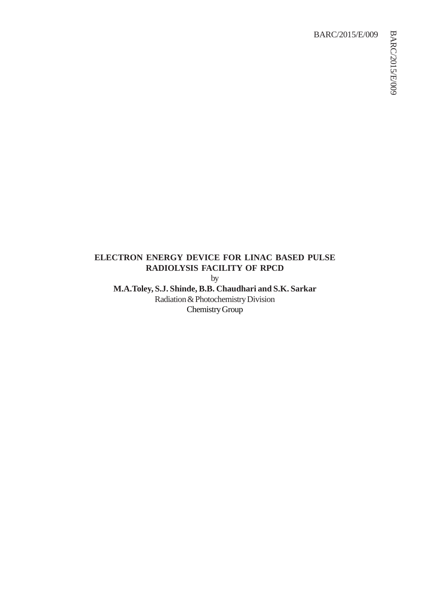## BARC/2015/E/009

# **ELECTRON ENERGY DEVICE FOR LINAC BASED PULSE RADIOLYSIS FACILITY OF RPCD**

by

**M.A.Toley, S.J. Shinde, B.B. Chaudhari and S.K. Sarkar** Radiation & Photochemistry Division Chemistry Group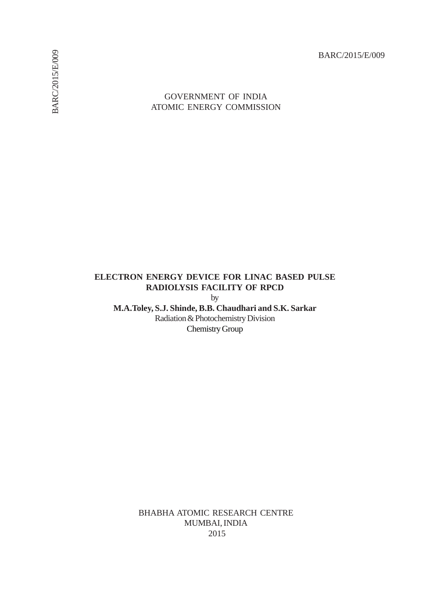BARC/2015/E/009

## GOVERNMENT OF INDIA ATOMIC ENERGY COMMISSION

# **ELECTRON ENERGY DEVICE FOR LINAC BASED PULSE RADIOLYSIS FACILITY OF RPCD**

by

**M.A.Toley, S.J. Shinde, B.B. Chaudhari and S.K. Sarkar** Radiation & Photochemistry Division Chemistry Group

> BHABHA ATOMIC RESEARCH CENTRE MUMBAI, INDIA 2015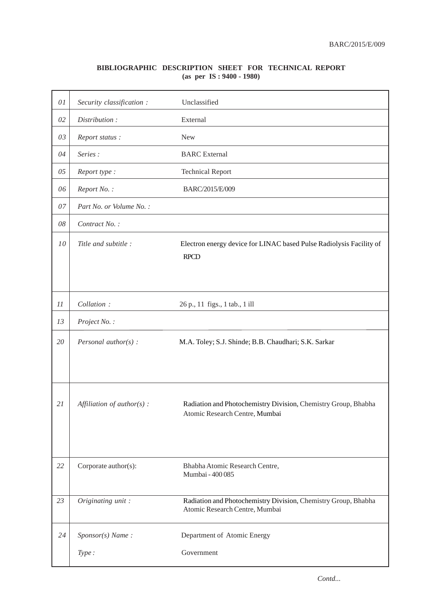## **BIBLIOGRAPHIC DESCRIPTION SHEET FOR TECHNICAL REPORT (as per IS : 9400 - 1980)**

| $0 \\ l$ | Security classification :    | Unclassified                                                                                     |
|----------|------------------------------|--------------------------------------------------------------------------------------------------|
| 02       | Distribution:                | External                                                                                         |
| 03       | Report status:               | <b>New</b>                                                                                       |
| 04       | Series:                      | <b>BARC</b> External                                                                             |
| $05\,$   | Report type :                | <b>Technical Report</b>                                                                          |
| 06       | Report No.:                  | BARC/2015/E/009                                                                                  |
| $07\,$   | Part No. or Volume No.:      |                                                                                                  |
| 08       | Contract No.:                |                                                                                                  |
| 10       | Title and subtitle :         | Electron energy device for LINAC based Pulse Radiolysis Facility of<br><b>RPCD</b>               |
| 11       | Collation:                   | 26 p., 11 figs., 1 tab., 1 ill                                                                   |
| 13       | Project No.:                 |                                                                                                  |
| 20       | Personal author( $s$ ) :     | M.A. Toley; S.J. Shinde; B.B. Chaudhari; S.K. Sarkar                                             |
| 21       | Affiliation of $author(s)$ : | Radiation and Photochemistry Division, Chemistry Group, Bhabha<br>Atomic Research Centre, Mumbai |
| 22       | Corporate author(s):         | Bhabha Atomic Research Centre,<br>Mumbai - 400 085                                               |
| 23       | Originating unit:            | Radiation and Photochemistry Division, Chemistry Group, Bhabha<br>Atomic Research Centre, Mumbai |
| 24       | $Sponsor(s)$ Name:           | Department of Atomic Energy                                                                      |
|          | Type:                        | Government                                                                                       |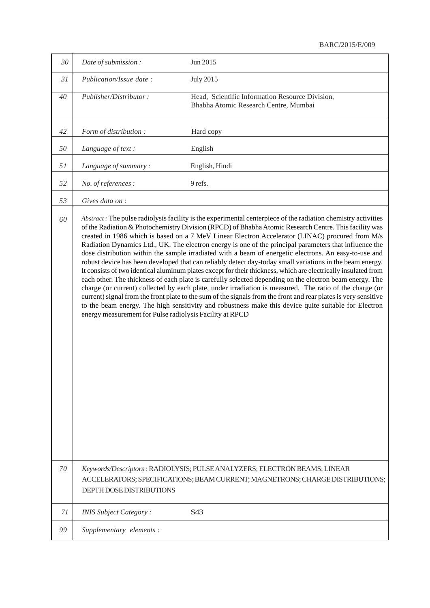#### BARC/2015/E/009

| 30 | Date of submission:                                                                                                                                                                                                                                                                                                                                                                                                                                                                                                                                                                                                                                                                                                                                                                                                                                                                                                                                                                                                                                                                                                                                                                                                                                                                      | Jun 2015                                                                                                                                                   |
|----|------------------------------------------------------------------------------------------------------------------------------------------------------------------------------------------------------------------------------------------------------------------------------------------------------------------------------------------------------------------------------------------------------------------------------------------------------------------------------------------------------------------------------------------------------------------------------------------------------------------------------------------------------------------------------------------------------------------------------------------------------------------------------------------------------------------------------------------------------------------------------------------------------------------------------------------------------------------------------------------------------------------------------------------------------------------------------------------------------------------------------------------------------------------------------------------------------------------------------------------------------------------------------------------|------------------------------------------------------------------------------------------------------------------------------------------------------------|
| 31 | Publication/Issue date:                                                                                                                                                                                                                                                                                                                                                                                                                                                                                                                                                                                                                                                                                                                                                                                                                                                                                                                                                                                                                                                                                                                                                                                                                                                                  | <b>July 2015</b>                                                                                                                                           |
| 40 | Publisher/Distributor:                                                                                                                                                                                                                                                                                                                                                                                                                                                                                                                                                                                                                                                                                                                                                                                                                                                                                                                                                                                                                                                                                                                                                                                                                                                                   | Head, Scientific Information Resource Division,<br>Bhabha Atomic Research Centre, Mumbai                                                                   |
| 42 | Form of distribution :                                                                                                                                                                                                                                                                                                                                                                                                                                                                                                                                                                                                                                                                                                                                                                                                                                                                                                                                                                                                                                                                                                                                                                                                                                                                   | Hard copy                                                                                                                                                  |
| 50 | Language of text :                                                                                                                                                                                                                                                                                                                                                                                                                                                                                                                                                                                                                                                                                                                                                                                                                                                                                                                                                                                                                                                                                                                                                                                                                                                                       | English                                                                                                                                                    |
| 51 | Language of summary:                                                                                                                                                                                                                                                                                                                                                                                                                                                                                                                                                                                                                                                                                                                                                                                                                                                                                                                                                                                                                                                                                                                                                                                                                                                                     | English, Hindi                                                                                                                                             |
| 52 | No. of references :                                                                                                                                                                                                                                                                                                                                                                                                                                                                                                                                                                                                                                                                                                                                                                                                                                                                                                                                                                                                                                                                                                                                                                                                                                                                      | 9 refs.                                                                                                                                                    |
| 53 | Gives data on :                                                                                                                                                                                                                                                                                                                                                                                                                                                                                                                                                                                                                                                                                                                                                                                                                                                                                                                                                                                                                                                                                                                                                                                                                                                                          |                                                                                                                                                            |
| 60 | Abstract: The pulse radiolysis facility is the experimental centerpiece of the radiation chemistry activities<br>of the Radiation & Photochemistry Division (RPCD) of Bhabha Atomic Research Centre. This facility was<br>created in 1986 which is based on a 7 MeV Linear Electron Accelerator (LINAC) procured from M/s<br>Radiation Dynamics Ltd., UK. The electron energy is one of the principal parameters that influence the<br>dose distribution within the sample irradiated with a beam of energetic electrons. An easy-to-use and<br>robust device has been developed that can reliably detect day-today small variations in the beam energy.<br>It consists of two identical aluminum plates except for their thickness, which are electrically insulated from<br>each other. The thickness of each plate is carefully selected depending on the electron beam energy. The<br>charge (or current) collected by each plate, under irradiation is measured. The ratio of the charge (or<br>current) signal from the front plate to the sum of the signals from the front and rear plates is very sensitive<br>to the beam energy. The high sensitivity and robustness make this device quite suitable for Electron<br>energy measurement for Pulse radiolysis Facility at RPCD |                                                                                                                                                            |
| 70 | <b>DEPTH DOSE DISTRIBUTIONS</b>                                                                                                                                                                                                                                                                                                                                                                                                                                                                                                                                                                                                                                                                                                                                                                                                                                                                                                                                                                                                                                                                                                                                                                                                                                                          | Keywords/Descriptors: RADIOLYSIS; PULSE ANALYZERS; ELECTRON BEAMS; LINEAR<br>ACCELERATORS; SPECIFICATIONS; BEAM CURRENT; MAGNETRONS; CHARGE DISTRIBUTIONS; |
| 71 | <b>INIS Subject Category:</b>                                                                                                                                                                                                                                                                                                                                                                                                                                                                                                                                                                                                                                                                                                                                                                                                                                                                                                                                                                                                                                                                                                                                                                                                                                                            | S43                                                                                                                                                        |
| 99 | Supplementary elements :                                                                                                                                                                                                                                                                                                                                                                                                                                                                                                                                                                                                                                                                                                                                                                                                                                                                                                                                                                                                                                                                                                                                                                                                                                                                 |                                                                                                                                                            |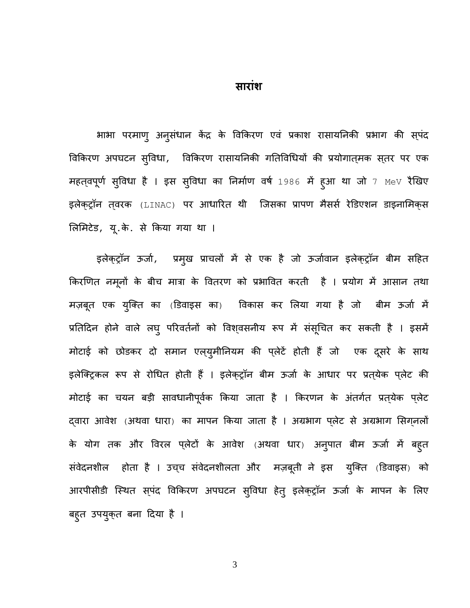भाभा परमाण् अनुसंधान केंद्र के विकिरण एवं प्रकाश रासायनिकी प्रभाग की स्पंद विकिरण अपघटन सुविधा, विकिरण रासायनिकी गतिविधियों की प्रयोगात्मक स्तर पर एक महत्**वपूर्ण सुविधा है । इस सुविधा का निर्माण वर्ष** 1986 में हुआ था जो 7 MeV रैखिए इलेक्ट्रॉन त्**वरक (LINAC) पर आधारित थी जिसका प्रापण मै**सर्स रेडिएशन डाइनामिक्**स** लिमिटेड, यू.के. से किया गया था ।

इलेक्ट्रॉन ऊर्जा, प्रमुख प्राचलों में से एक है जो ऊर्जावान इलेक्ट्रॉन बीम सहित किरणित नमूनों के बीच मात्रा के वितरण को प्रभावित करती है । प्रयोग में आसान तथा मज़बूत एक युक्ति का (डिवाइस का) विकास कर लिया गया है जो बीम ऊर्जा में प्रतिदिन होने वाले लघु परिवर्तनों को विश्वसनीय रूप में संसूचित कर सकती है । इसमें मोटाई को छोडकर दो समान एल्युमीनियम की प्लेटें होती हैं जो एक दूसरे के साथ इलेक्ट्रिकल रूप से रोधित होती हैं । इलेक्ट्रॉन बीम ऊर्जा के आधार पर प्रत्येक प्लेट की मोटाई का चयन बड़ी सावधानीपूर्वक किया जाता है । किरणन के अंतर्गत प्रत्**येक प्**लेट दवारा आवेश (अथवा धारा) का मापन किया जाता है । अग्रभाग प्लेट से अग्रभाग सिगनलों के योग तक और विरल प्लेटों के आवेश (अथवा धार) अनुपात बीम ऊर्जा में बह्त संवेदनशील होता है । उच्च संवेदनशीलता और मज़बूती ने इस युक्ति (डिवाइस) को आरपीसीडी स्थित स्पंद विकिरण अपघटन स्विधा हेत् इलेक्ट्रॉन ऊर्जा के मापन के लिए बहूत उपयुक्त बना दिया है ।

3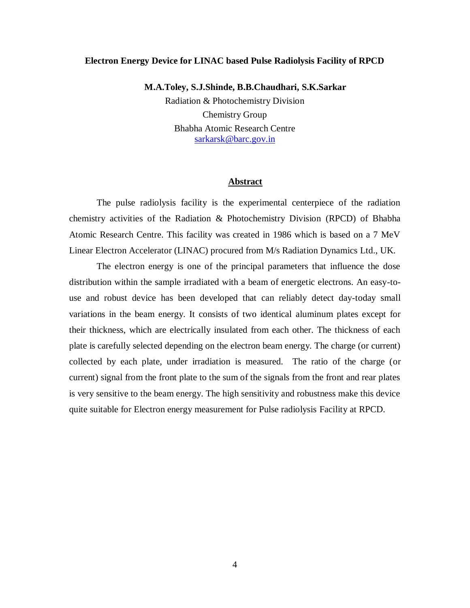#### **Electron Energy Device for LINAC based Pulse Radiolysis Facility of RPCD**

**M.A.Toley, S.J.Shinde, B.B.Chaudhari, S.K.Sarkar** Radiation & Photochemistry Division Chemistry Group

> Bhabha Atomic Research Centre sarkarsk@barc.gov.in

#### **Abstract**

The pulse radiolysis facility is the experimental centerpiece of the radiation chemistry activities of the Radiation & Photochemistry Division (RPCD) of Bhabha Atomic Research Centre. This facility was created in 1986 which is based on a 7 MeV Linear Electron Accelerator (LINAC) procured from M/s Radiation Dynamics Ltd., UK.

The electron energy is one of the principal parameters that influence the dose distribution within the sample irradiated with a beam of energetic electrons. An easy-touse and robust device has been developed that can reliably detect day-today small variations in the beam energy. It consists of two identical aluminum plates except for their thickness, which are electrically insulated from each other. The thickness of each plate is carefully selected depending on the electron beam energy. The charge (or current) collected by each plate, under irradiation is measured. The ratio of the charge (or current) signal from the front plate to the sum of the signals from the front and rear plates is very sensitive to the beam energy. The high sensitivity and robustness make this device quite suitable for Electron energy measurement for Pulse radiolysis Facility at RPCD.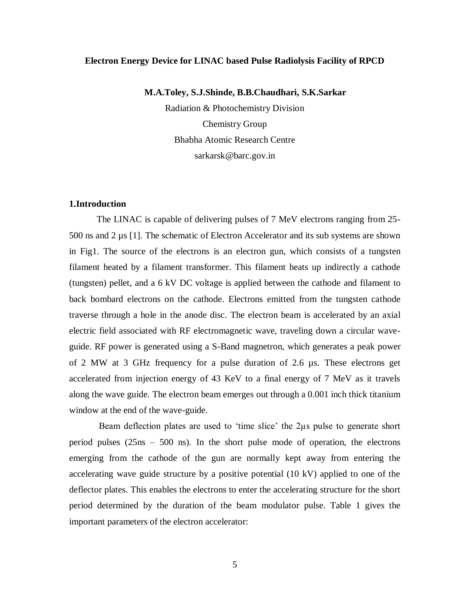#### **Electron Energy Device for LINAC based Pulse Radiolysis Facility of RPCD**

### **M.A.Toley, S.J.Shinde, B.B.Chaudhari, S.K.Sarkar**

Radiation & Photochemistry Division Chemistry Group Bhabha Atomic Research Centre sarkarsk@barc.gov.in

## **1.Introduction**

The LINAC is capable of delivering pulses of 7 MeV electrons ranging from 25- 500 ns and 2 µs [1]. The schematic of Electron Accelerator and its sub systems are shown in Fig1. The source of the electrons is an electron gun, which consists of a tungsten filament heated by a filament transformer. This filament heats up indirectly a cathode (tungsten) pellet, and a 6 kV DC voltage is applied between the cathode and filament to back bombard electrons on the cathode. Electrons emitted from the tungsten cathode traverse through a hole in the anode disc. The electron beam is accelerated by an axial electric field associated with RF electromagnetic wave, traveling down a circular waveguide. RF power is generated using a S-Band magnetron, which generates a peak power of 2 MW at 3 GHz frequency for a pulse duration of 2.6 µs. These electrons get accelerated from injection energy of 43 KeV to a final energy of 7 MeV as it travels along the wave guide. The electron beam emerges out through a 0.001 inch thick titanium window at the end of the wave-guide.

Beam deflection plates are used to 'time slice' the 2µs pulse to generate short period pulses (25ns – 500 ns). In the short pulse mode of operation, the electrons emerging from the cathode of the gun are normally kept away from entering the accelerating wave guide structure by a positive potential (10 kV) applied to one of the deflector plates. This enables the electrons to enter the accelerating structure for the short period determined by the duration of the beam modulator pulse. Table 1 gives the important parameters of the electron accelerator: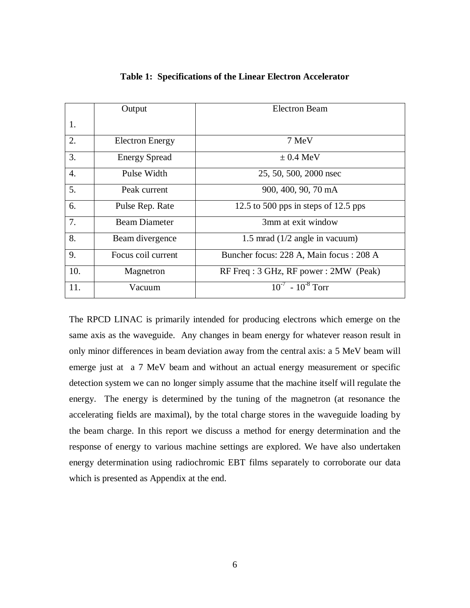|                  | Output                 | <b>Electron Beam</b>                    |
|------------------|------------------------|-----------------------------------------|
| 1.               |                        |                                         |
|                  |                        |                                         |
| 2.               | <b>Electron Energy</b> | 7 MeV                                   |
| 3.               | <b>Energy Spread</b>   | $\pm$ 0.4 MeV                           |
| $\overline{4}$ . | Pulse Width            | 25, 50, 500, 2000 nsec                  |
| 5.               | Peak current           | 900, 400, 90, 70 mA                     |
| 6.               | Pulse Rep. Rate        | 12.5 to 500 pps in steps of 12.5 pps    |
| 7.               | <b>Beam Diameter</b>   | 3mm at exit window                      |
| 8.               | Beam divergence        | 1.5 mrad $(1/2$ angle in vacuum)        |
| 9.               | Focus coil current     | Buncher focus: 228 A, Main focus: 208 A |
| 10.              | Magnetron              | RF Freq: 3 GHz, RF power: 2MW (Peak)    |
| 11.              | Vacuum                 | $10^{-7}$ - $10^{-8}$ Torr              |

**Table 1: Specifications of the Linear Electron Accelerator**

The RPCD LINAC is primarily intended for producing electrons which emerge on the same axis as the waveguide. Any changes in beam energy for whatever reason result in only minor differences in beam deviation away from the central axis: a 5 MeV beam will emerge just at a 7 MeV beam and without an actual energy measurement or specific detection system we can no longer simply assume that the machine itself will regulate the energy. The energy is determined by the tuning of the magnetron (at resonance the accelerating fields are maximal), by the total charge stores in the waveguide loading by the beam charge. In this report we discuss a method for energy determination and the response of energy to various machine settings are explored. We have also undertaken energy determination using radiochromic EBT films separately to corroborate our data which is presented as Appendix at the end.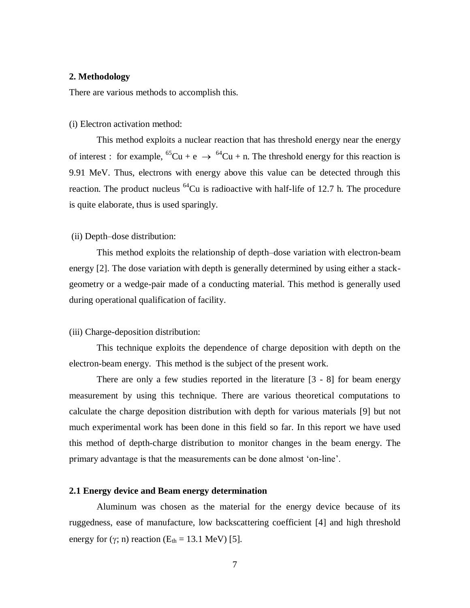#### **2. Methodology**

There are various methods to accomplish this.

#### (i) Electron activation method:

This method exploits a nuclear reaction that has threshold energy near the energy of interest : for example, <sup>65</sup>Cu + e  $\rightarrow$  <sup>64</sup>Cu + n. The threshold energy for this reaction is 9.91 MeV. Thus, electrons with energy above this value can be detected through this reaction. The product nucleus  $^{64}$ Cu is radioactive with half-life of 12.7 h. The procedure is quite elaborate, thus is used sparingly.

#### (ii) Depth–dose distribution:

This method exploits the relationship of depth–dose variation with electron-beam energy [2]. The dose variation with depth is generally determined by using either a stackgeometry or a wedge-pair made of a conducting material. This method is generally used during operational qualification of facility.

#### (iii) Charge-deposition distribution:

This technique exploits the dependence of charge deposition with depth on the electron-beam energy. This method is the subject of the present work.

There are only a few studies reported in the literature [3 - 8] for beam energy measurement by using this technique. There are various theoretical computations to calculate the charge deposition distribution with depth for various materials [9] but not much experimental work has been done in this field so far. In this report we have used this method of depth-charge distribution to monitor changes in the beam energy. The primary advantage is that the measurements can be done almost 'on-line'.

#### **2.1 Energy device and Beam energy determination**

Aluminum was chosen as the material for the energy device because of its ruggedness, ease of manufacture, low backscattering coefficient [4] and high threshold energy for  $(\gamma; n)$  reaction  $(E_{th} = 13.1 \text{ MeV})$  [5].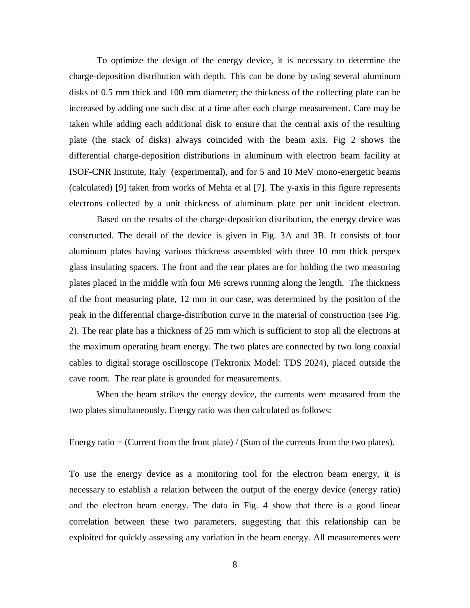To optimize the design of the energy device, it is necessary to determine the charge-deposition distribution with depth. This can be done by using several aluminum disks of 0.5 mm thick and 100 mm diameter; the thickness of the collecting plate can be increased by adding one such disc at a time after each charge measurement. Care may be taken while adding each additional disk to ensure that the central axis of the resulting plate (the stack of disks) always coincided with the beam axis. Fig 2 shows the differential charge-deposition distributions in aluminum with electron beam facility at ISOF-CNR Institute, Italy (experimental), and for 5 and 10 MeV mono-energetic beams (calculated) [9] taken from works of Mehta et al [7]. The y-axis in this figure represents electrons collected by a unit thickness of aluminum plate per unit incident electron.

Based on the results of the charge-deposition distribution, the energy device was constructed. The detail of the device is given in Fig. 3A and 3B. It consists of four aluminum plates having various thickness assembled with three 10 mm thick perspex glass insulating spacers. The front and the rear plates are for holding the two measuring plates placed in the middle with four M6 screws running along the length. The thickness of the front measuring plate, 12 mm in our case, was determined by the position of the peak in the differential charge-distribution curve in the material of construction (see Fig. 2). The rear plate has a thickness of 25 mm which is sufficient to stop all the electrons at the maximum operating beam energy. The two plates are connected by two long coaxial cables to digital storage oscilloscope (Tektronix Model: TDS 2024), placed outside the cave room. The rear plate is grounded for measurements.

When the beam strikes the energy device, the currents were measured from the two plates simultaneously. Energy ratio was then calculated as follows:

Energy ratio  $=$  (Current from the front plate) / (Sum of the currents from the two plates).

To use the energy device as a monitoring tool for the electron beam energy, it is necessary to establish a relation between the output of the energy device (energy ratio) and the electron beam energy. The data in Fig. 4 show that there is a good linear correlation between these two parameters, suggesting that this relationship can be exploited for quickly assessing any variation in the beam energy. All measurements were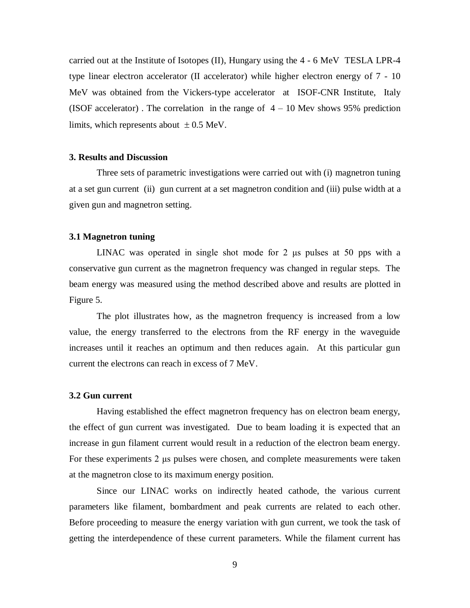carried out at the Institute of Isotopes (II), Hungary using the 4 - 6 MeV TESLA LPR-4 type linear electron accelerator (II accelerator) while higher electron energy of 7 - 10 MeV was obtained from the Vickers-type accelerator at ISOF-CNR Institute, Italy (ISOF accelerator). The correlation in the range of  $4 - 10$  Mev shows 95% prediction limits, which represents about  $\pm 0.5$  MeV.

#### **3. Results and Discussion**

Three sets of parametric investigations were carried out with (i) magnetron tuning at a set gun current (ii) gun current at a set magnetron condition and (iii) pulse width at a given gun and magnetron setting.

### **3.1 Magnetron tuning**

LINAC was operated in single shot mode for 2 μs pulses at 50 pps with a conservative gun current as the magnetron frequency was changed in regular steps. The beam energy was measured using the method described above and results are plotted in Figure 5.

The plot illustrates how, as the magnetron frequency is increased from a low value, the energy transferred to the electrons from the RF energy in the waveguide increases until it reaches an optimum and then reduces again. At this particular gun current the electrons can reach in excess of 7 MeV.

#### **3.2 Gun current**

Having established the effect magnetron frequency has on electron beam energy, the effect of gun current was investigated. Due to beam loading it is expected that an increase in gun filament current would result in a reduction of the electron beam energy. For these experiments 2 μs pulses were chosen, and complete measurements were taken at the magnetron close to its maximum energy position.

Since our LINAC works on indirectly heated cathode, the various current parameters like filament, bombardment and peak currents are related to each other. Before proceeding to measure the energy variation with gun current, we took the task of getting the interdependence of these current parameters. While the filament current has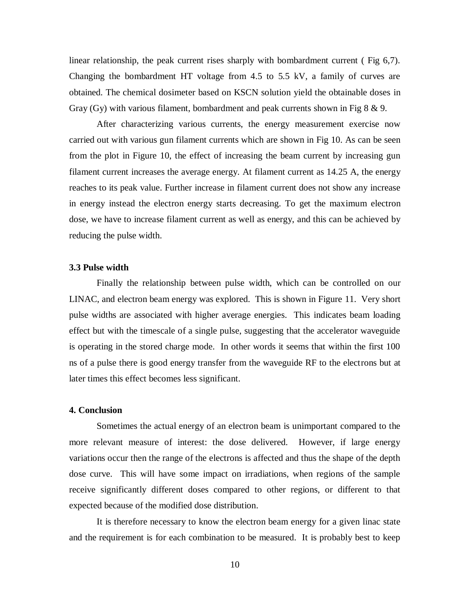linear relationship, the peak current rises sharply with bombardment current ( Fig 6,7). Changing the bombardment HT voltage from 4.5 to 5.5 kV, a family of curves are obtained. The chemical dosimeter based on KSCN solution yield the obtainable doses in Gray (Gy) with various filament, bombardment and peak currents shown in Fig  $8 \& 9$ .

After characterizing various currents, the energy measurement exercise now carried out with various gun filament currents which are shown in Fig 10. As can be seen from the plot in Figure 10, the effect of increasing the beam current by increasing gun filament current increases the average energy. At filament current as 14.25 A, the energy reaches to its peak value. Further increase in filament current does not show any increase in energy instead the electron energy starts decreasing. To get the maximum electron dose, we have to increase filament current as well as energy, and this can be achieved by reducing the pulse width.

### **3.3 Pulse width**

Finally the relationship between pulse width, which can be controlled on our LINAC, and electron beam energy was explored. This is shown in Figure 11. Very short pulse widths are associated with higher average energies. This indicates beam loading effect but with the timescale of a single pulse, suggesting that the accelerator waveguide is operating in the stored charge mode. In other words it seems that within the first 100 ns of a pulse there is good energy transfer from the waveguide RF to the electrons but at later times this effect becomes less significant.

### **4. Conclusion**

Sometimes the actual energy of an electron beam is unimportant compared to the more relevant measure of interest: the dose delivered. However, if large energy variations occur then the range of the electrons is affected and thus the shape of the depth dose curve. This will have some impact on irradiations, when regions of the sample receive significantly different doses compared to other regions, or different to that expected because of the modified dose distribution.

It is therefore necessary to know the electron beam energy for a given linac state and the requirement is for each combination to be measured. It is probably best to keep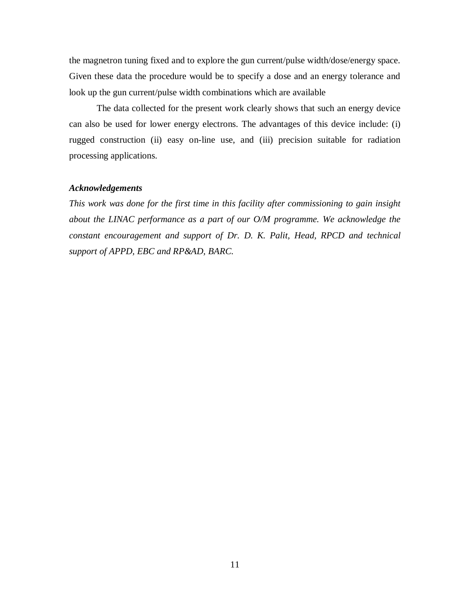the magnetron tuning fixed and to explore the gun current/pulse width/dose/energy space. Given these data the procedure would be to specify a dose and an energy tolerance and look up the gun current/pulse width combinations which are available

The data collected for the present work clearly shows that such an energy device can also be used for lower energy electrons. The advantages of this device include: (i) rugged construction (ii) easy on-line use, and (iii) precision suitable for radiation processing applications.

## *Acknowledgements*

*This work was done for the first time in this facility after commissioning to gain insight about the LINAC performance as a part of our O/M programme. We acknowledge the constant encouragement and support of Dr. D. K. Palit, Head, RPCD and technical support of APPD, EBC and RP&AD, BARC.*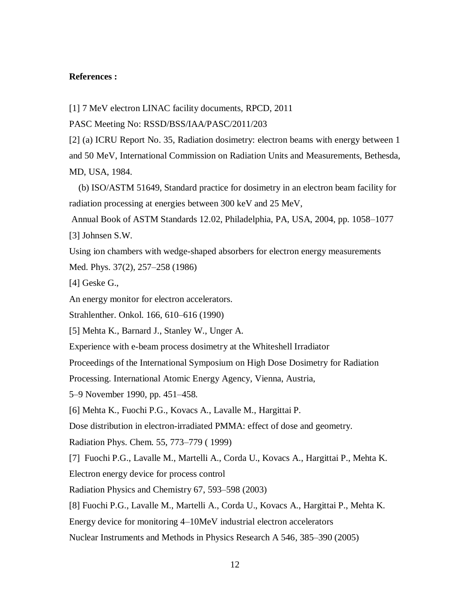### **References :**

[1] 7 MeV electron LINAC facility documents, RPCD, 2011

PASC Meeting No: RSSD/BSS/IAA/PASC/2011/203

[2] (a) ICRU Report No. 35, Radiation dosimetry: electron beams with energy between 1 and 50 MeV, International Commission on Radiation Units and Measurements, Bethesda, MD, USA, 1984.

 (b) ISO/ASTM 51649, Standard practice for dosimetry in an electron beam facility for radiation processing at energies between 300 keV and 25 MeV,

Annual Book of ASTM Standards 12.02, Philadelphia, PA, USA, 2004, pp. 1058–1077 [3] Johnsen S.W.

Using ion chambers with wedge-shaped absorbers for electron energy measurements Med. Phys. 37(2), 257–258 (1986)

[4] Geske G.,

An energy monitor for electron accelerators.

Strahlenther. Onkol. 166, 610–616 (1990)

[5] Mehta K., Barnard J., Stanley W., Unger A.

Experience with e-beam process dosimetry at the Whiteshell Irradiator

Proceedings of the International Symposium on High Dose Dosimetry for Radiation

Processing. International Atomic Energy Agency, Vienna, Austria,

5–9 November 1990, pp. 451–458.

[6] Mehta K., Fuochi P.G., Kovacs A., Lavalle M., Hargittai P.

Dose distribution in electron-irradiated PMMA: effect of dose and geometry.

Radiation Phys. Chem. 55, 773–779 ( 1999)

[7] Fuochi P.G., Lavalle M., Martelli A., Corda U., Kovacs A., Hargittai P., Mehta K. Electron energy device for process control

Radiation Physics and Chemistry 67, 593–598 (2003)

[8] Fuochi P.G., Lavalle M., Martelli A., Corda U., Kovacs A., Hargittai P., Mehta K.

Energy device for monitoring 4–10MeV industrial electron accelerators

Nuclear Instruments and Methods in Physics Research A 546, 385–390 (2005)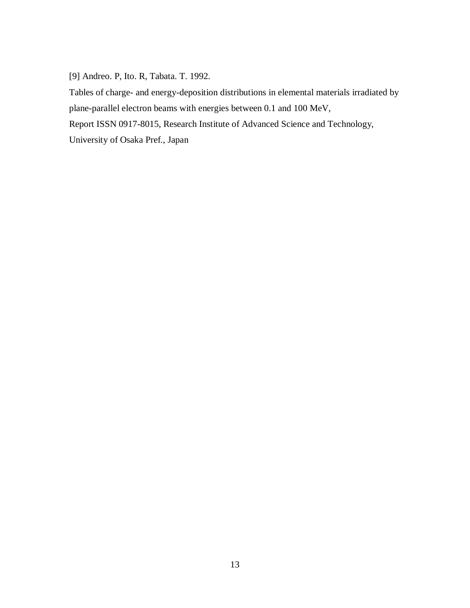[9] Andreo. P, Ito. R, Tabata. T. 1992.

Tables of charge- and energy-deposition distributions in elemental materials irradiated by plane-parallel electron beams with energies between 0.1 and 100 MeV,

Report ISSN 0917-8015, Research Institute of Advanced Science and Technology,

University of Osaka Pref., Japan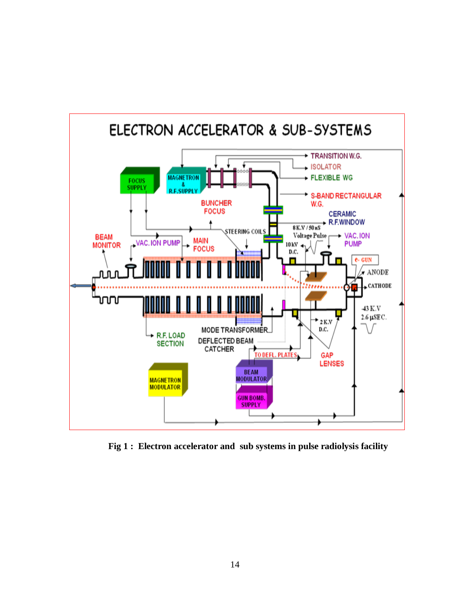

 **Fig 1 : Electron accelerator and sub systems in pulse radiolysis facility**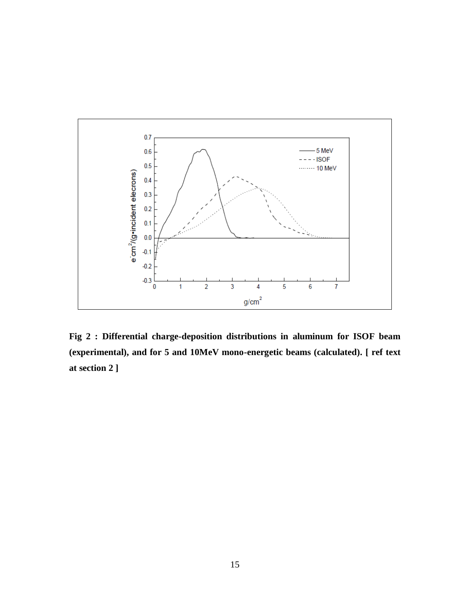

**Fig 2 : Differential charge-deposition distributions in aluminum for ISOF beam (experimental), and for 5 and 10MeV mono-energetic beams (calculated). [ ref text at section 2 ]**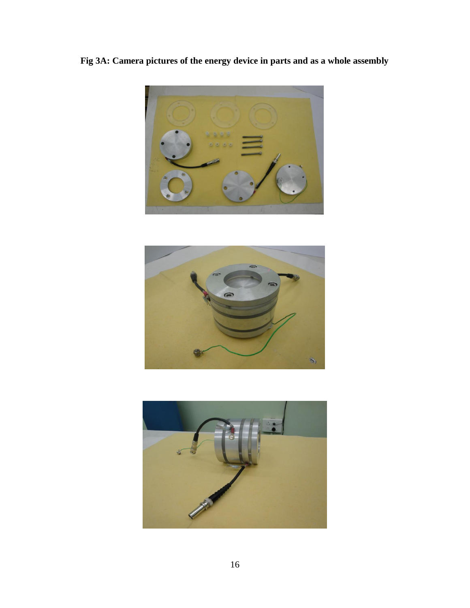**Fig 3A: Camera pictures of the energy device in parts and as a whole assembly**





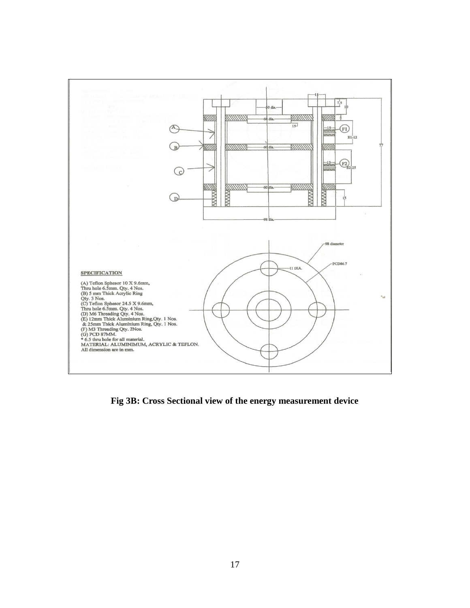

**Fig 3B: Cross Sectional view of the energy measurement device**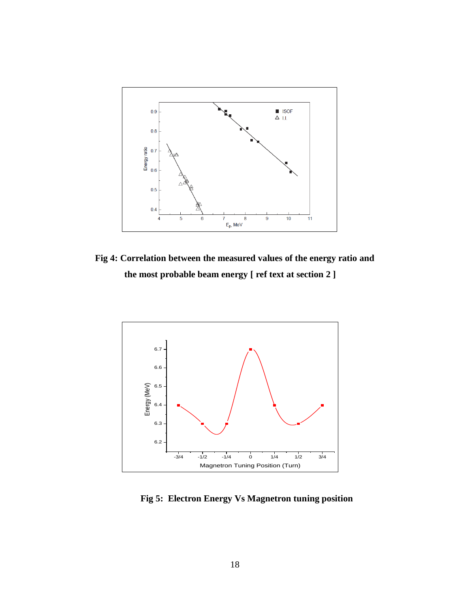

**Fig 4: Correlation between the measured values of the energy ratio and the most probable beam energy [ ref text at section 2 ]** 



 **Fig 5: Electron Energy Vs Magnetron tuning position**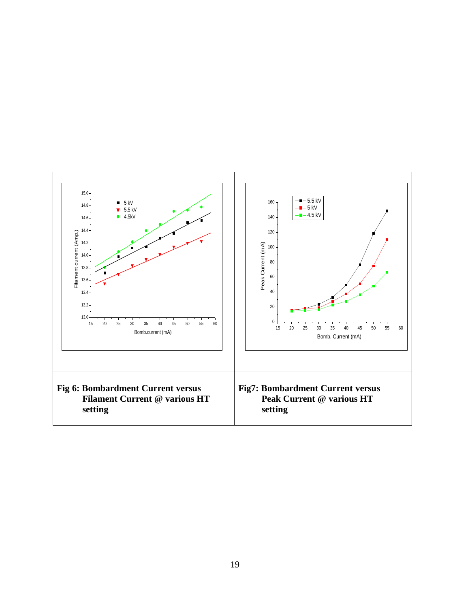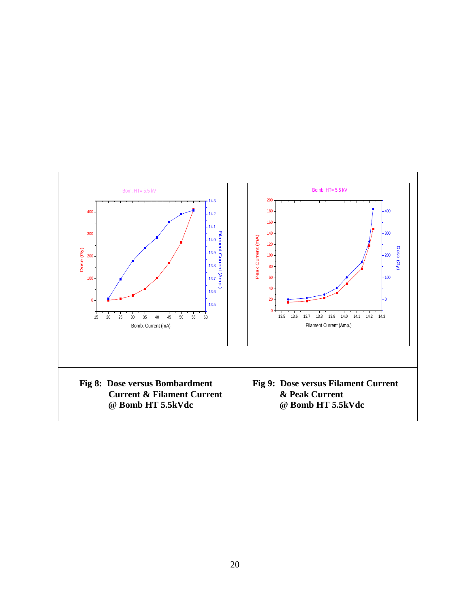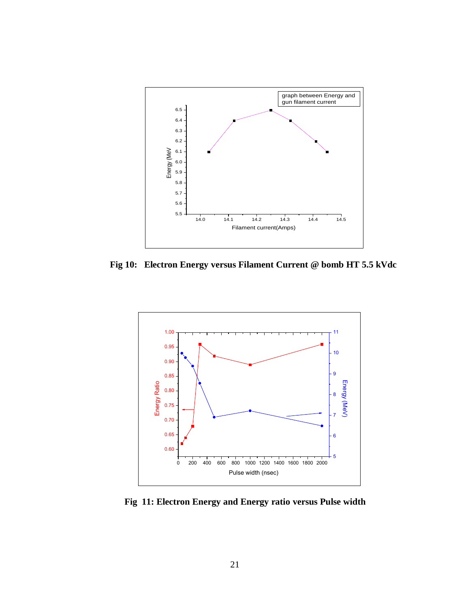

 **Fig 10: Electron Energy versus Filament Current @ bomb HT 5.5 kVdc**



 **Fig 11: Electron Energy and Energy ratio versus Pulse width**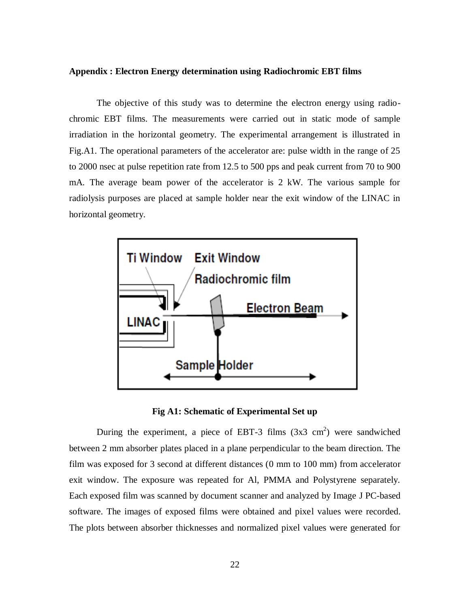#### **Appendix : Electron Energy determination using Radiochromic EBT films**

The objective of this study was to determine the electron energy using radiochromic EBT films. The measurements were carried out in static mode of sample irradiation in the horizontal geometry. The experimental arrangement is illustrated in Fig.A1. The operational parameters of the accelerator are: pulse width in the range of 25 to 2000 nsec at pulse repetition rate from 12.5 to 500 pps and peak current from 70 to 900 mA. The average beam power of the accelerator is 2 kW. The various sample for radiolysis purposes are placed at sample holder near the exit window of the LINAC in horizontal geometry.



**Fig A1: Schematic of Experimental Set up**

During the experiment, a piece of EBT-3 films  $(3x3 \text{ cm}^2)$  were sandwiched between 2 mm absorber plates placed in a plane perpendicular to the beam direction. The film was exposed for 3 second at different distances (0 mm to 100 mm) from accelerator exit window. The exposure was repeated for Al, PMMA and Polystyrene separately. Each exposed film was scanned by document scanner and analyzed by Image J PC-based software. The images of exposed films were obtained and pixel values were recorded. The plots between absorber thicknesses and normalized pixel values were generated for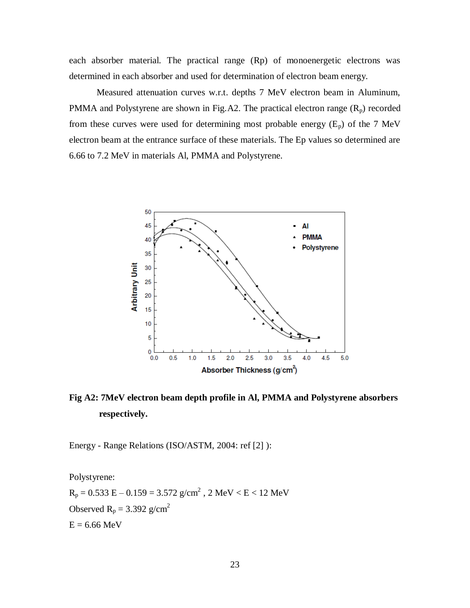each absorber material. The practical range (Rp) of monoenergetic electrons was determined in each absorber and used for determination of electron beam energy.

Measured attenuation curves w.r.t. depths 7 MeV electron beam in Aluminum, PMMA and Polystyrene are shown in Fig.A2. The practical electron range  $(R_p)$  recorded from these curves were used for determining most probable energy  $(E_p)$  of the 7 MeV electron beam at the entrance surface of these materials. The Ep values so determined are 6.66 to 7.2 MeV in materials Al, PMMA and Polystyrene.



**Fig A2: 7MeV electron beam depth profile in Al, PMMA and Polystyrene absorbers respectively.** 

Energy - Range Relations (ISO/ASTM, 2004: ref [2] ):

Polystyrene:

 $R_p = 0.533 E - 0.159 = 3.572 g/cm^2$ , 2 MeV < E < 12 MeV Observed  $R_p = 3.392$  g/cm<sup>2</sup>  $E = 6.66$  MeV